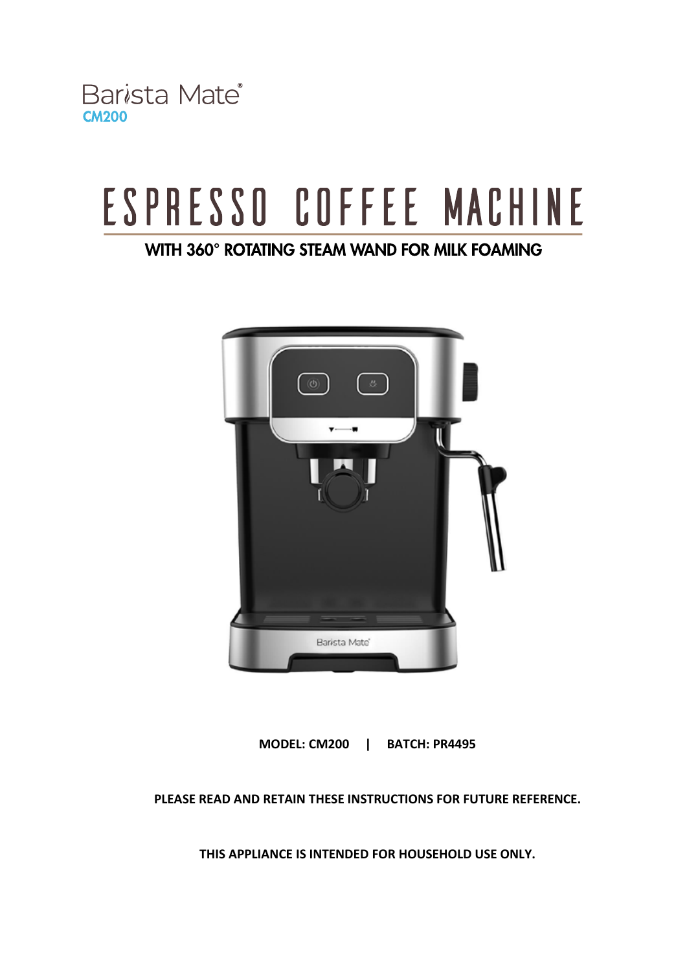Barista Mate<sup>®</sup> **CM200** 

# ESPRESSO COFFEE MACHINE

## WITH 360° ROTATING STEAM WAND FOR MILK FOAMING



**MODEL: CM200 | BATCH: PR4495**

**PLEASE READ AND RETAIN THESE INSTRUCTIONS FOR FUTURE REFERENCE.**

**THIS APPLIANCE IS INTENDED FOR HOUSEHOLD USE ONLY.**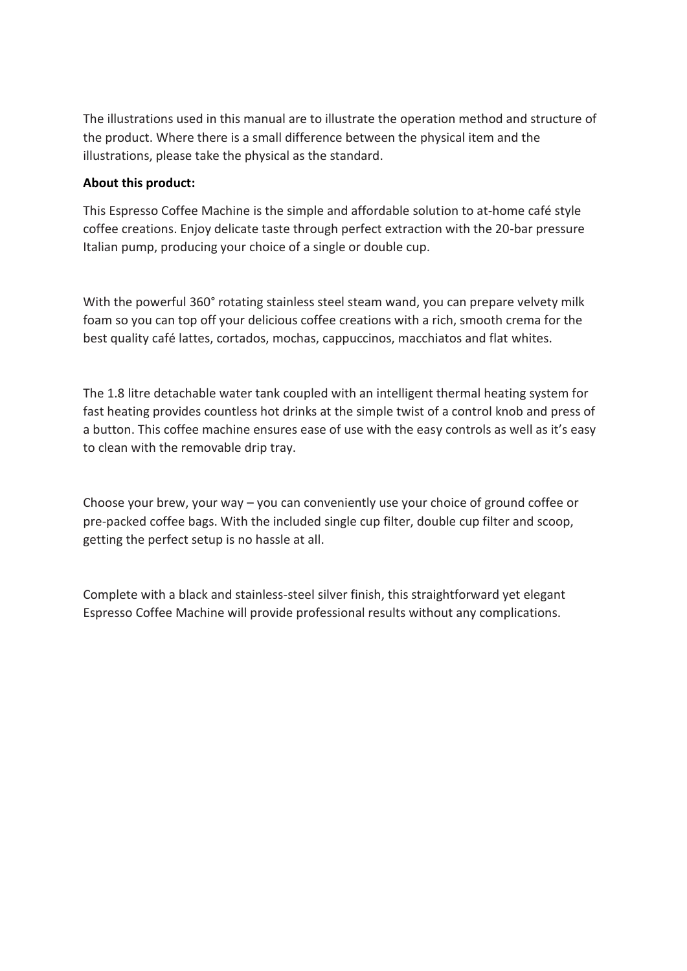The illustrations used in this manual are to illustrate the operation method and structure of the product. Where there is a small difference between the physical item and the illustrations, please take the physical as the standard.

#### **About this product:**

This Espresso Coffee Machine is the simple and affordable solution to at-home café style coffee creations. Enjoy delicate taste through perfect extraction with the 20-bar pressure Italian pump, producing your choice of a single or double cup.

With the powerful 360° rotating stainless steel steam wand, you can prepare velvety milk foam so you can top off your delicious coffee creations with a rich, smooth crema for the best quality café lattes, cortados, mochas, cappuccinos, macchiatos and flat whites.

The 1.8 litre detachable water tank coupled with an intelligent thermal heating system for fast heating provides countless hot drinks at the simple twist of a control knob and press of a button. This coffee machine ensures ease of use with the easy controls as well as it's easy to clean with the removable drip tray.

Choose your brew, your way – you can conveniently use your choice of ground coffee or pre-packed coffee bags. With the included single cup filter, double cup filter and scoop, getting the perfect setup is no hassle at all.

Complete with a black and stainless-steel silver finish, this straightforward yet elegant Espresso Coffee Machine will provide professional results without any complications.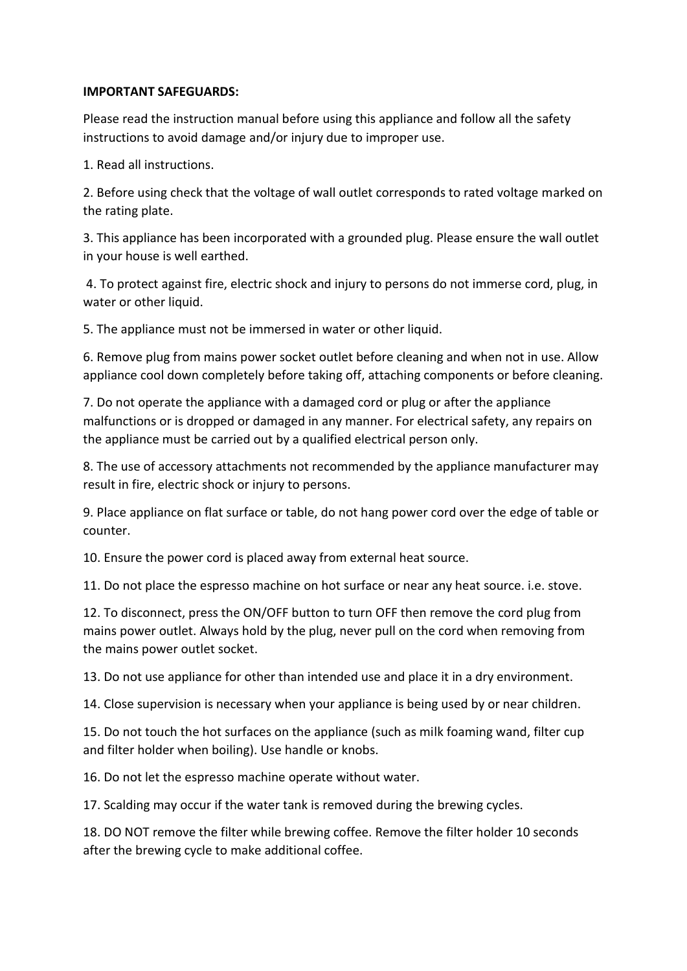#### **IMPORTANT SAFEGUARDS:**

Please read the instruction manual before using this appliance and follow all the safety instructions to avoid damage and/or injury due to improper use.

1. Read all instructions.

2. Before using check that the voltage of wall outlet corresponds to rated voltage marked on the rating plate.

3. This appliance has been incorporated with a grounded plug. Please ensure the wall outlet in your house is well earthed.

4. To protect against fire, electric shock and injury to persons do not immerse cord, plug, in water or other liquid.

5. The appliance must not be immersed in water or other liquid.

6. Remove plug from mains power socket outlet before cleaning and when not in use. Allow appliance cool down completely before taking off, attaching components or before cleaning.

7. Do not operate the appliance with a damaged cord or plug or after the appliance malfunctions or is dropped or damaged in any manner. For electrical safety, any repairs on the appliance must be carried out by a qualified electrical person only.

8. The use of accessory attachments not recommended by the appliance manufacturer may result in fire, electric shock or injury to persons.

9. Place appliance on flat surface or table, do not hang power cord over the edge of table or counter.

10. Ensure the power cord is placed away from external heat source.

11. Do not place the espresso machine on hot surface or near any heat source. i.e. stove.

12. To disconnect, press the ON/OFF button to turn OFF then remove the cord plug from mains power outlet. Always hold by the plug, never pull on the cord when removing from the mains power outlet socket.

13. Do not use appliance for other than intended use and place it in a dry environment.

14. Close supervision is necessary when your appliance is being used by or near children.

15. Do not touch the hot surfaces on the appliance (such as milk foaming wand, filter cup and filter holder when boiling). Use handle or knobs.

16. Do not let the espresso machine operate without water.

17. Scalding may occur if the water tank is removed during the brewing cycles.

18. DO NOT remove the filter while brewing coffee. Remove the filter holder 10 seconds after the brewing cycle to make additional coffee.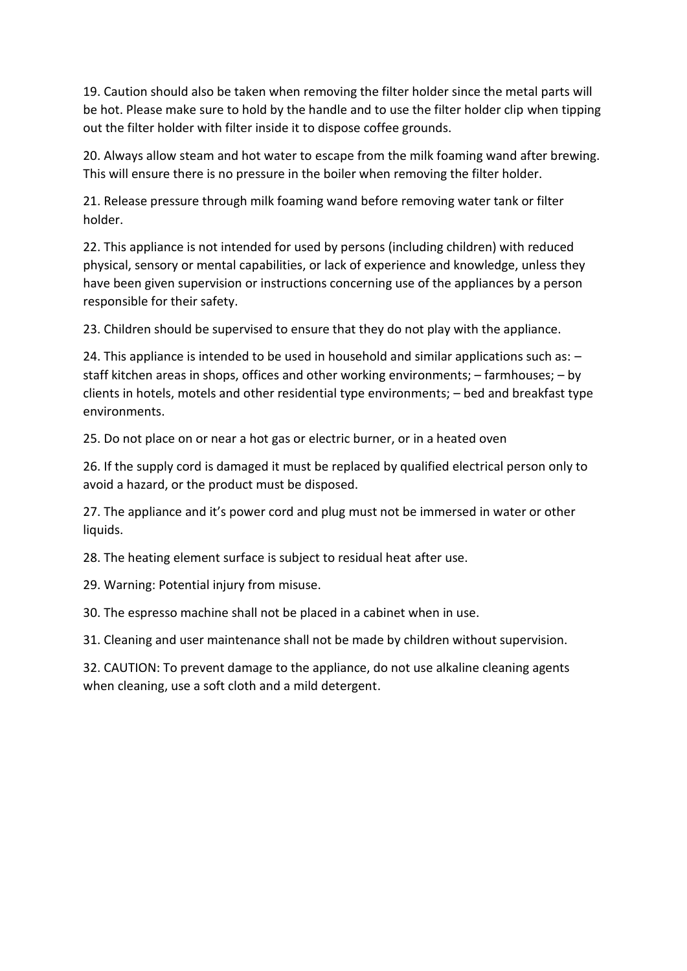19. Caution should also be taken when removing the filter holder since the metal parts will be hot. Please make sure to hold by the handle and to use the filter holder clip when tipping out the filter holder with filter inside it to dispose coffee grounds.

20. Always allow steam and hot water to escape from the milk foaming wand after brewing. This will ensure there is no pressure in the boiler when removing the filter holder.

21. Release pressure through milk foaming wand before removing water tank or filter holder.

22. This appliance is not intended for used by persons (including children) with reduced physical, sensory or mental capabilities, or lack of experience and knowledge, unless they have been given supervision or instructions concerning use of the appliances by a person responsible for their safety.

23. Children should be supervised to ensure that they do not play with the appliance.

24. This appliance is intended to be used in household and similar applications such as: – staff kitchen areas in shops, offices and other working environments; – farmhouses; – by clients in hotels, motels and other residential type environments; – bed and breakfast type environments.

25. Do not place on or near a hot gas or electric burner, or in a heated oven

26. If the supply cord is damaged it must be replaced by qualified electrical person only to avoid a hazard, or the product must be disposed.

27. The appliance and it's power cord and plug must not be immersed in water or other liquids.

28. The heating element surface is subject to residual heat after use.

29. Warning: Potential injury from misuse.

30. The espresso machine shall not be placed in a cabinet when in use.

31. Cleaning and user maintenance shall not be made by children without supervision.

32. CAUTION: To prevent damage to the appliance, do not use alkaline cleaning agents when cleaning, use a soft cloth and a mild detergent.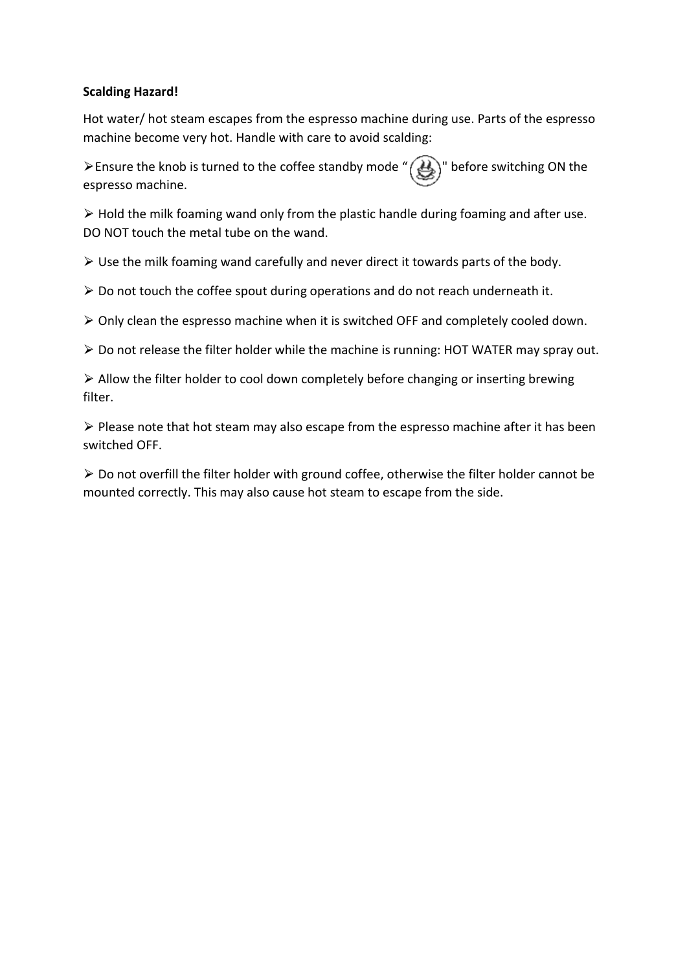#### **Scalding Hazard!**

Hot water/ hot steam escapes from the espresso machine during use. Parts of the espresso machine become very hot. Handle with care to avoid scalding:

 $\geq$ Ensure the knob is turned to the coffee standby mode "  $\bigotimes$ " before switching ON the espresso machine.

 $\triangleright$  Hold the milk foaming wand only from the plastic handle during foaming and after use. DO NOT touch the metal tube on the wand.

 $\triangleright$  Use the milk foaming wand carefully and never direct it towards parts of the body.

 $\triangleright$  Do not touch the coffee spout during operations and do not reach underneath it.

 $\triangleright$  Only clean the espresso machine when it is switched OFF and completely cooled down.

▶ Do not release the filter holder while the machine is running: HOT WATER may spray out.

 $\triangleright$  Allow the filter holder to cool down completely before changing or inserting brewing filter.

 $\triangleright$  Please note that hot steam may also escape from the espresso machine after it has been switched OFF.

 $\triangleright$  Do not overfill the filter holder with ground coffee, otherwise the filter holder cannot be mounted correctly. This may also cause hot steam to escape from the side.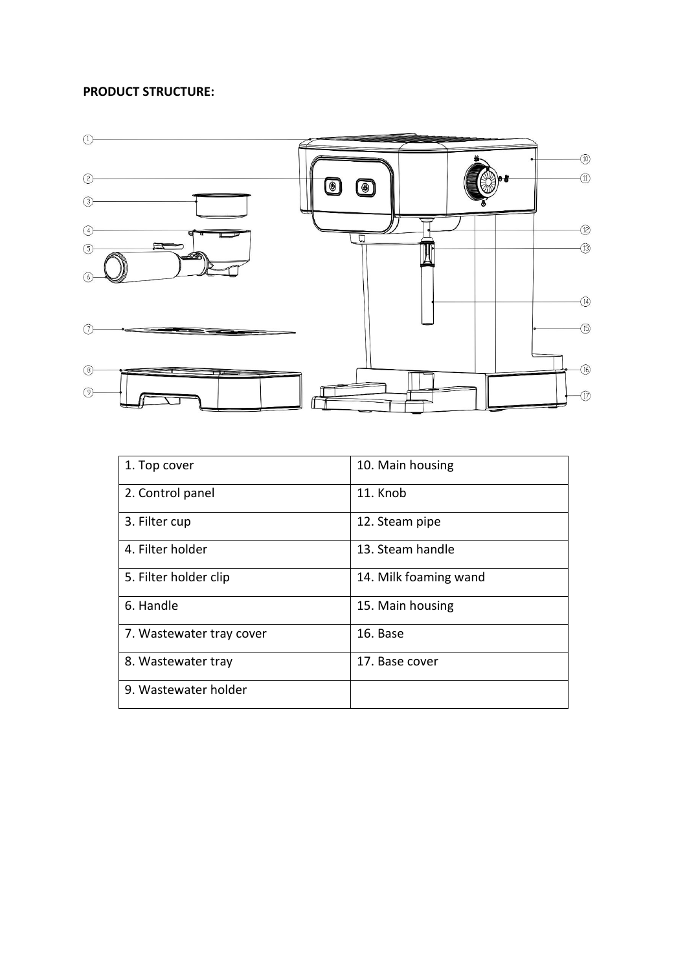#### **PRODUCT STRUCTURE:**



| 1. Top cover             | 10. Main housing      |
|--------------------------|-----------------------|
| 2. Control panel         | 11. Knob              |
| 3. Filter cup            | 12. Steam pipe        |
| 4. Filter holder         | 13. Steam handle      |
| 5. Filter holder clip    | 14. Milk foaming wand |
| 6. Handle                | 15. Main housing      |
| 7. Wastewater tray cover | 16. Base              |
| 8. Wastewater tray       | 17. Base cover        |
| 9. Wastewater holder     |                       |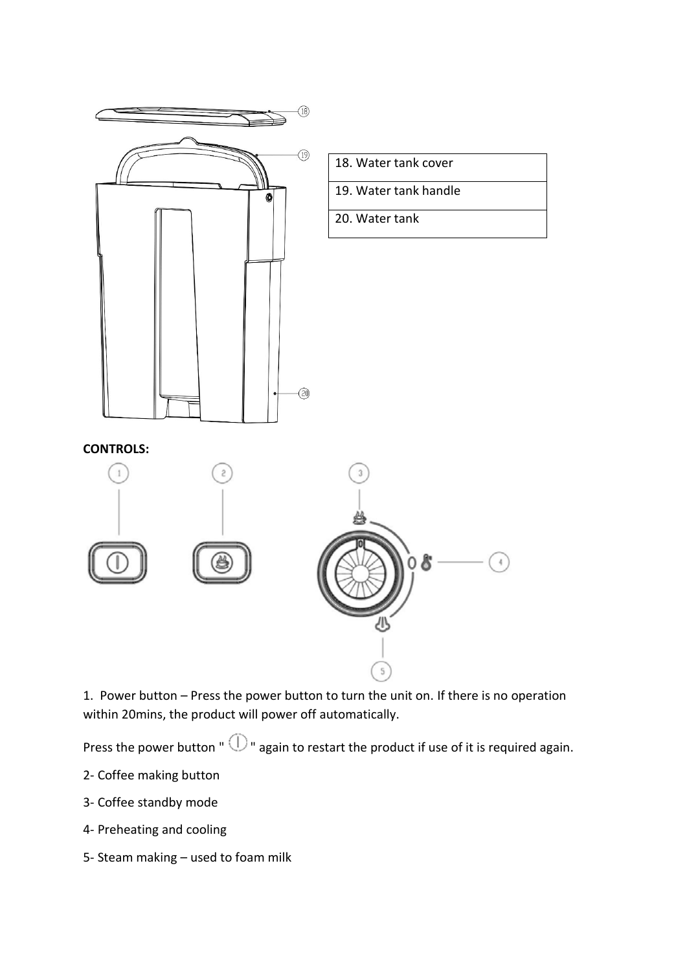

1. Power button – Press the power button to turn the unit on. If there is no operation within 20mins, the product will power off automatically.

Press the power button "  $\mathbb O$  " again to restart the product if use of it is required again.

- 2- Coffee making button
- 3- Coffee standby mode
- 4- Preheating and cooling
- 5- Steam making used to foam milk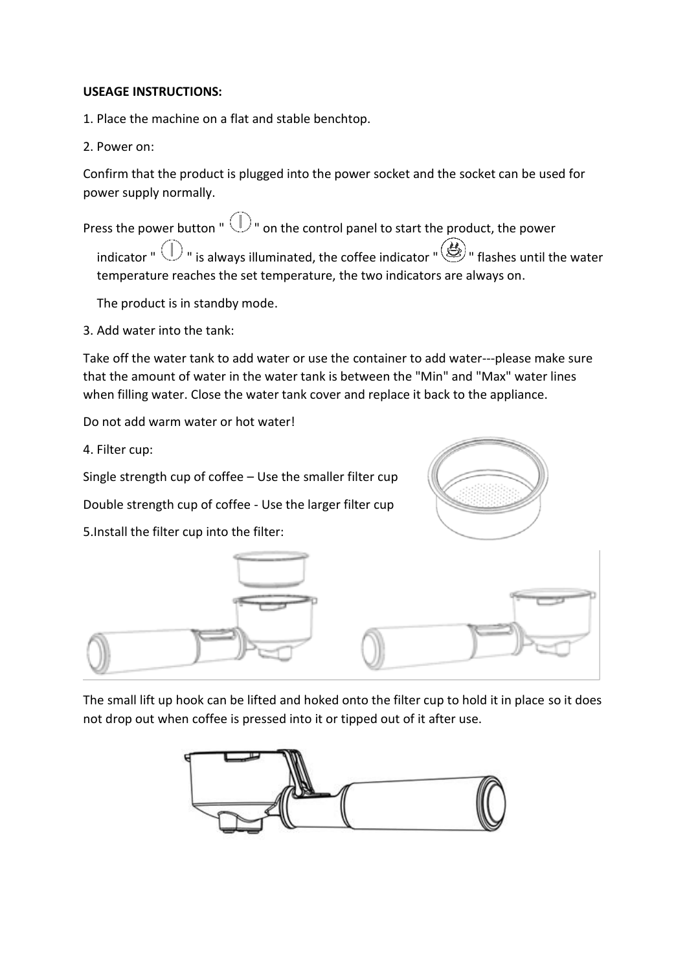#### **USEAGE INSTRUCTIONS:**

1. Place the machine on a flat and stable benchtop.

2. Power on:

Confirm that the product is plugged into the power socket and the socket can be used for power supply normally.

Press the power button "  $\mathbb{O}$  " on the control panel to start the product, the power indicator "  $\bigcirc$  " is always illuminated, the coffee indicator "  $\bigcirc$  " flashes until the water temperature reaches the set temperature, the two indicators are always on.

The product is in standby mode.

3. Add water into the tank:

Take off the water tank to add water or use the container to add water---please make sure that the amount of water in the water tank is between the "Min" and "Max" water lines when filling water. Close the water tank cover and replace it back to the appliance.

Do not add warm water or hot water!

4. Filter cup:

Single strength cup of coffee – Use the smaller filter cup

Double strength cup of coffee - Use the larger filter cup

5.Install the filter cup into the filter:





The small lift up hook can be lifted and hoked onto the filter cup to hold it in place so it does not drop out when coffee is pressed into it or tipped out of it after use.

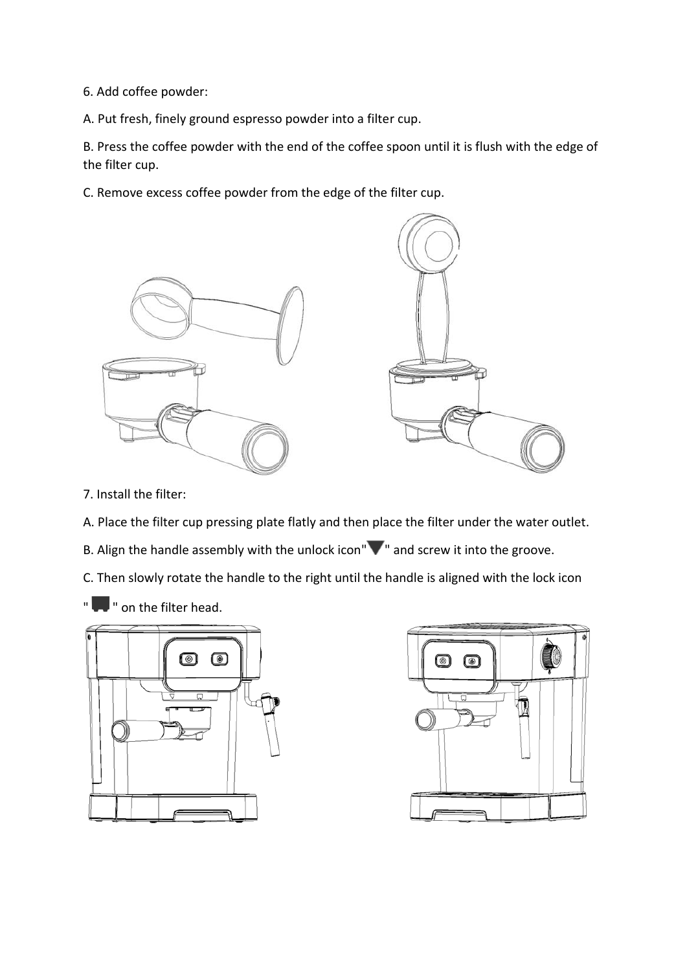6. Add coffee powder:

A. Put fresh, finely ground espresso powder into a filter cup.

B. Press the coffee powder with the end of the coffee spoon until it is flush with the edge of the filter cup.

C. Remove excess coffee powder from the edge of the filter cup.



- 7. Install the filter:
- A. Place the filter cup pressing plate flatly and then place the filter under the water outlet.
- B. Align the handle assembly with the unlock icon" $\blacktriangledown$ " and screw it into the groove.

C. Then slowly rotate the handle to the right until the handle is aligned with the lock icon

" **T** " on the filter head.



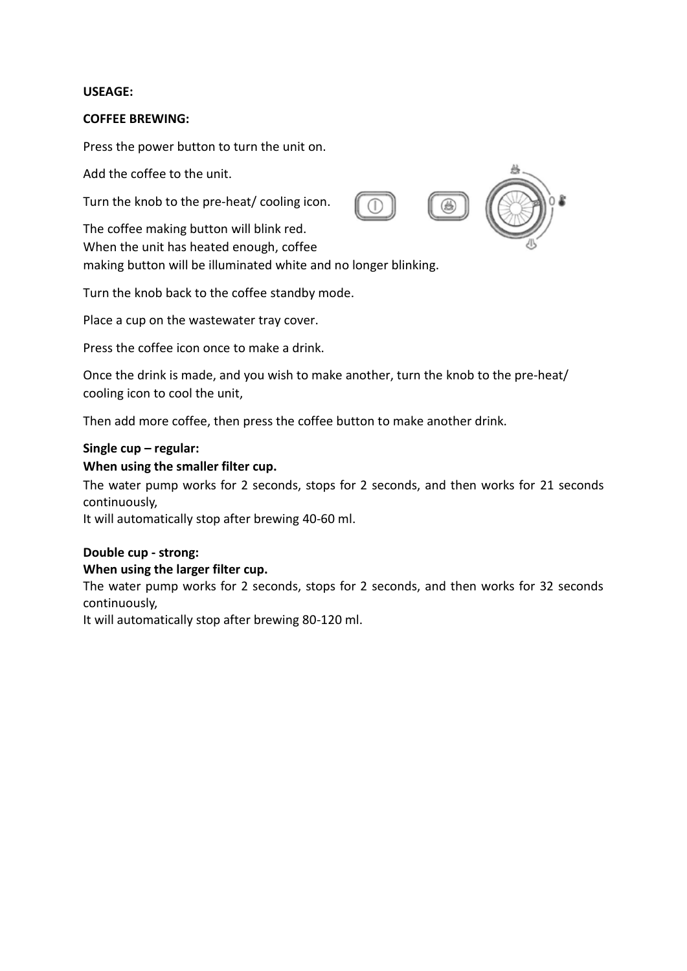#### **USEAGE:**

#### **COFFEE BREWING:**

Press the power button to turn the unit on.

Add the coffee to the unit.

Turn the knob to the pre-heat/ cooling icon.

The coffee making button will blink red. When the unit has heated enough, coffee making button will be illuminated white and no longer blinking.

Turn the knob back to the coffee standby mode.

Place a cup on the wastewater tray cover.

Press the coffee icon once to make a drink.

Once the drink is made, and you wish to make another, turn the knob to the pre-heat/ cooling icon to cool the unit,

Then add more coffee, then press the coffee button to make another drink.

#### **Single cup – regular:**

#### **When using the smaller filter cup.**

The water pump works for 2 seconds, stops for 2 seconds, and then works for 21 seconds continuously,

It will automatically stop after brewing 40-60 ml.

### **Double cup - strong:**

#### **When using the larger filter cup.**

The water pump works for 2 seconds, stops for 2 seconds, and then works for 32 seconds continuously,

It will automatically stop after brewing 80-120 ml.

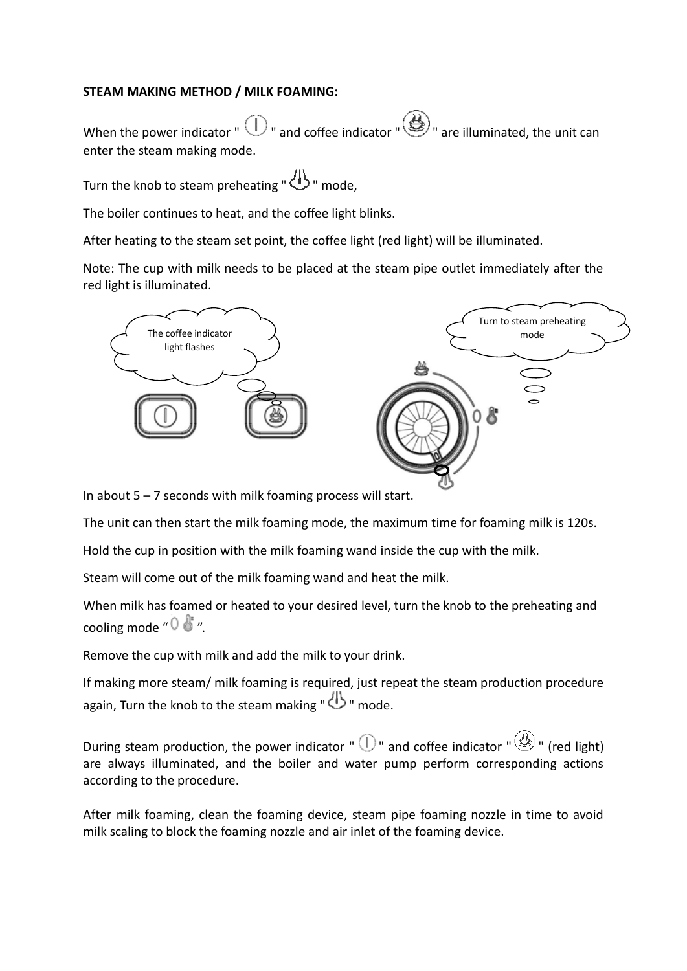#### **STEAM MAKING METHOD / MILK FOAMING:**

When the power indicator "  $\bigcirc$  " and coffee indicator "  $\bigcirc$ " are illuminated, the unit can enter the steam making mode.

Turn the knob to steam preheating " $\bigoplus$  " mode.

The boiler continues to heat, and the coffee light blinks.

After heating to the steam set point, the coffee light (red light) will be illuminated.

Note: The cup with milk needs to be placed at the steam pipe outlet immediately after the red light is illuminated.



In about  $5 - 7$  seconds with milk foaming process will start.

The unit can then start the milk foaming mode, the maximum time for foaming milk is 120s.

Hold the cup in position with the milk foaming wand inside the cup with the milk.

Steam will come out of the milk foaming wand and heat the milk.

When milk has foamed or heated to your desired level, turn the knob to the preheating and cooling mode " $0 \cdot$ ".

Remove the cup with milk and add the milk to your drink.

If making more steam/ milk foaming is required, just repeat the steam production procedure again, Turn the knob to the steam making " $\bigoplus$  " mode.

During steam production, the power indicator "  $\mathbb{D}$ " and coffee indicator "  $\mathscr{B}$ " (red light) are always illuminated, and the boiler and water pump perform corresponding actions according to the procedure.

After milk foaming, clean the foaming device, steam pipe foaming nozzle in time to avoid milk scaling to block the foaming nozzle and air inlet of the foaming device.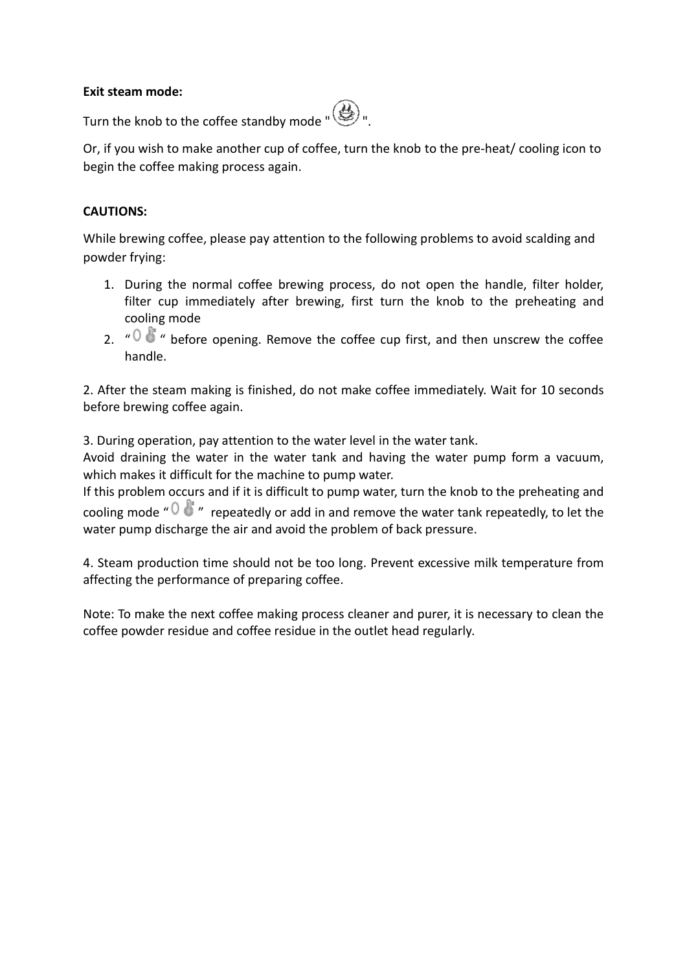#### **Exit steam mode:**



Turn the knob to the coffee standby mode "

Or, if you wish to make another cup of coffee, turn the knob to the pre-heat/ cooling icon to begin the coffee making process again.

#### **CAUTIONS:**

While brewing coffee, please pay attention to the following problems to avoid scalding and powder frying:

- 1. During the normal coffee brewing process, do not open the handle, filter holder, filter cup immediately after brewing, first turn the knob to the preheating and cooling mode
- 2.  $\sqrt[n]{\mathbb{C}^n}$  " before opening. Remove the coffee cup first, and then unscrew the coffee handle.

2. After the steam making is finished, do not make coffee immediately. Wait for 10 seconds before brewing coffee again.

3. During operation, pay attention to the water level in the water tank.

Avoid draining the water in the water tank and having the water pump form a vacuum, which makes it difficult for the machine to pump water.

If this problem occurs and if it is difficult to pump water, turn the knob to the preheating and cooling mode " $0$ " " repeatedly or add in and remove the water tank repeatedly, to let the water pump discharge the air and avoid the problem of back pressure.

4. Steam production time should not be too long. Prevent excessive milk temperature from affecting the performance of preparing coffee.

Note: To make the next coffee making process cleaner and purer, it is necessary to clean the coffee powder residue and coffee residue in the outlet head regularly.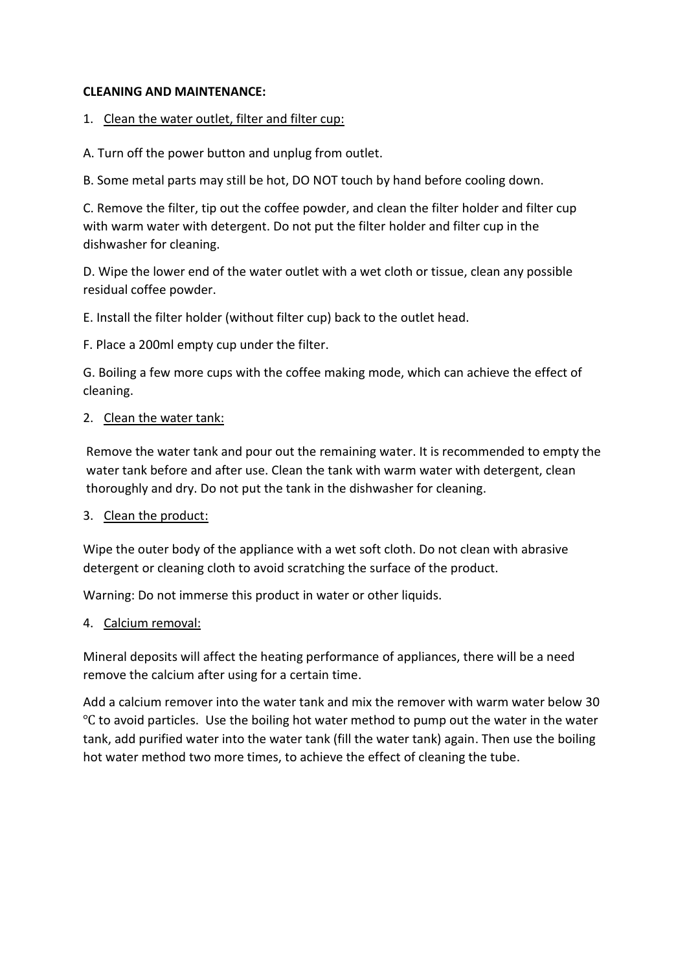#### **CLEANING AND MAINTENANCE:**

#### 1. Clean the water outlet, filter and filter cup:

A. Turn off the power button and unplug from outlet.

B. Some metal parts may still be hot, DO NOT touch by hand before cooling down.

C. Remove the filter, tip out the coffee powder, and clean the filter holder and filter cup with warm water with detergent. Do not put the filter holder and filter cup in the dishwasher for cleaning.

D. Wipe the lower end of the water outlet with a wet cloth or tissue, clean any possible residual coffee powder.

E. Install the filter holder (without filter cup) back to the outlet head.

F. Place a 200ml empty cup under the filter.

G. Boiling a few more cups with the coffee making mode, which can achieve the effect of cleaning.

#### 2. Clean the water tank:

Remove the water tank and pour out the remaining water. It is recommended to empty the water tank before and after use. Clean the tank with warm water with detergent, clean thoroughly and dry. Do not put the tank in the dishwasher for cleaning.

#### 3. Clean the product:

Wipe the outer body of the appliance with a wet soft cloth. Do not clean with abrasive detergent or cleaning cloth to avoid scratching the surface of the product.

Warning: Do not immerse this product in water or other liquids.

#### 4. Calcium removal:

Mineral deposits will affect the heating performance of appliances, there will be a need remove the calcium after using for a certain time.

Add a calcium remover into the water tank and mix the remover with warm water below 30 Ԩ to avoid particles. Use the boiling hot water method to pump out the water in the water tank, add purified water into the water tank (fill the water tank) again. Then use the boiling hot water method two more times, to achieve the effect of cleaning the tube.